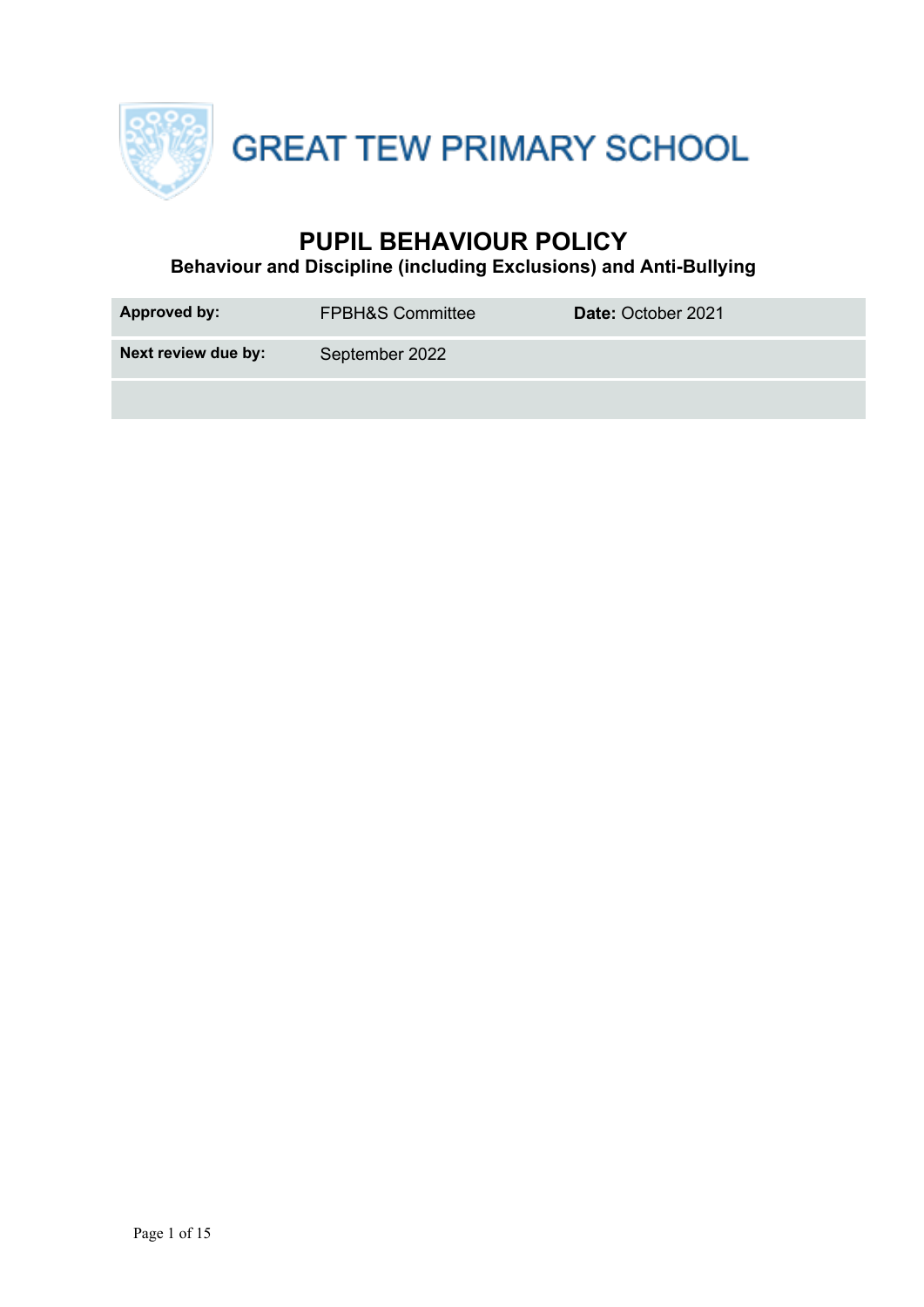

GREAT TEW PRIMARY SCHOOL

## **PUPIL BEHAVIOUR POLICY**

**Behaviour and Discipline (including Exclusions) and Anti-Bullying**

| <b>Approved by:</b> | <b>FPBH&amp;S Committee</b> | Date: October 2021 |
|---------------------|-----------------------------|--------------------|
| Next review due by: | September 2022              |                    |
|                     |                             |                    |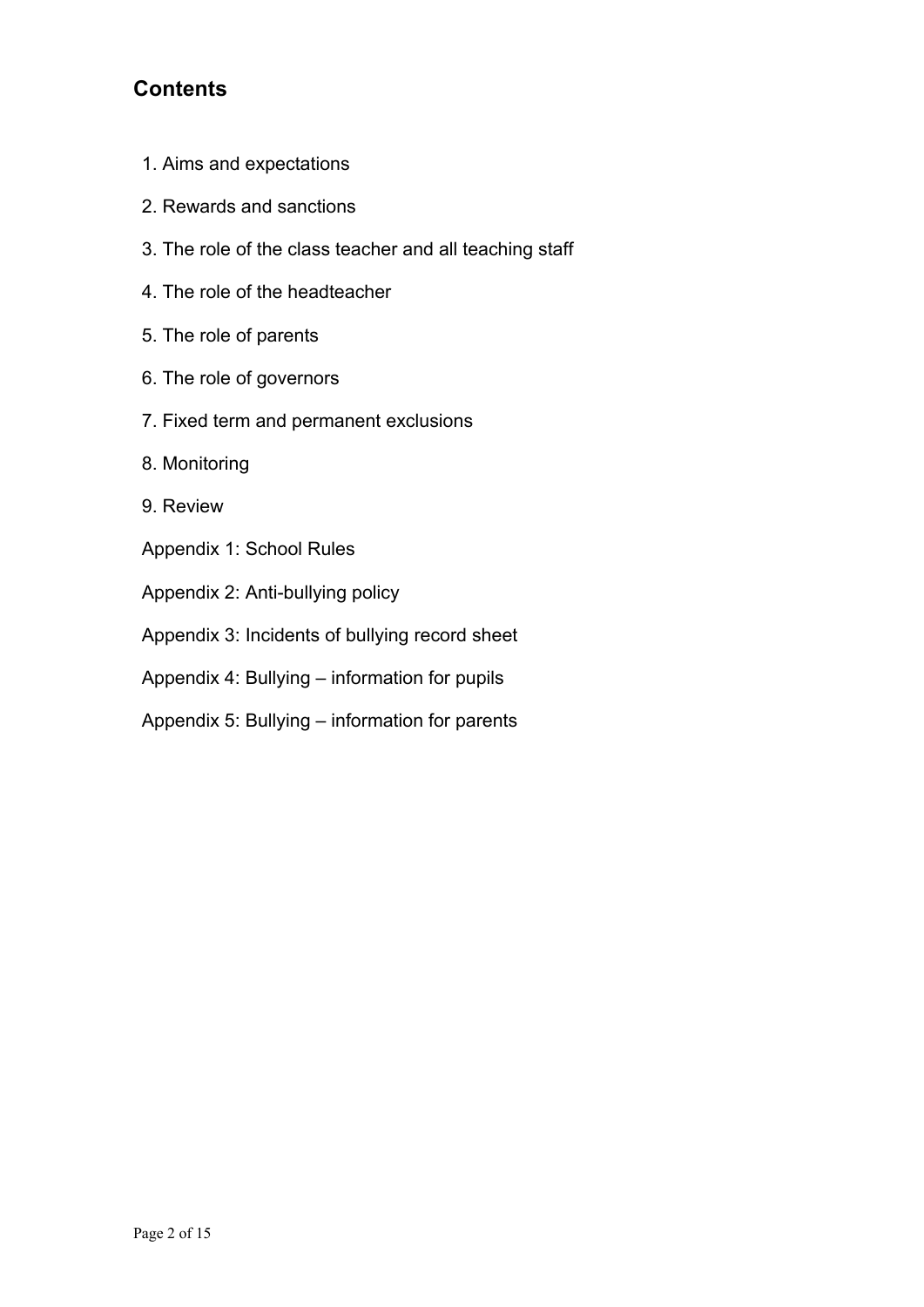## **Contents**

- 1. Aims and expectations
- 2. Rewards and sanctions
- 3. The role of the class teacher and all teaching staff
- 4. The role of the headteacher
- 5. The role of parents
- 6. The role of governors
- 7. Fixed term and permanent exclusions
- 8. Monitoring
- 9. Review
- Appendix 1: School Rules
- Appendix 2: Anti-bullying policy
- Appendix 3: Incidents of bullying record sheet
- Appendix 4: Bullying information for pupils
- Appendix 5: Bullying information for parents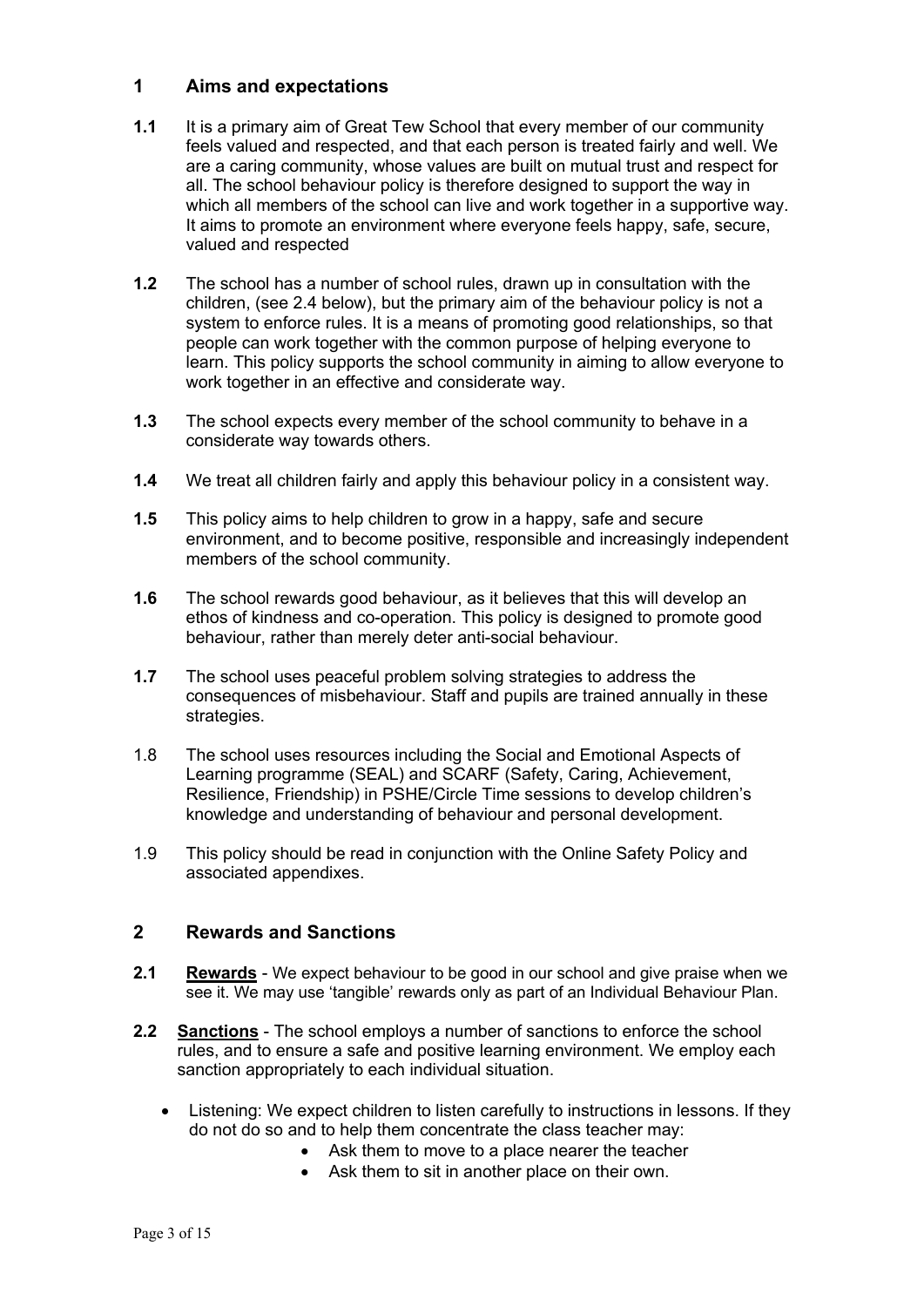### **1 Aims and expectations**

- **1.1** It is a primary aim of Great Tew School that every member of our community feels valued and respected, and that each person is treated fairly and well. We are a caring community, whose values are built on mutual trust and respect for all. The school behaviour policy is therefore designed to support the way in which all members of the school can live and work together in a supportive way. It aims to promote an environment where everyone feels happy, safe, secure, valued and respected
- **1.2** The school has a number of school rules, drawn up in consultation with the children, (see 2.4 below), but the primary aim of the behaviour policy is not a system to enforce rules. It is a means of promoting good relationships, so that people can work together with the common purpose of helping everyone to learn. This policy supports the school community in aiming to allow everyone to work together in an effective and considerate way.
- **1.3** The school expects every member of the school community to behave in a considerate way towards others.
- **1.4** We treat all children fairly and apply this behaviour policy in a consistent way.
- **1.5** This policy aims to help children to grow in a happy, safe and secure environment, and to become positive, responsible and increasingly independent members of the school community.
- **1.6** The school rewards good behaviour, as it believes that this will develop an ethos of kindness and co-operation. This policy is designed to promote good behaviour, rather than merely deter anti-social behaviour.
- **1.7** The school uses peaceful problem solving strategies to address the consequences of misbehaviour. Staff and pupils are trained annually in these strategies.
- 1.8 The school uses resources including the Social and Emotional Aspects of Learning programme (SEAL) and SCARF (Safety, Caring, Achievement, Resilience, Friendship) in PSHE/Circle Time sessions to develop children's knowledge and understanding of behaviour and personal development.
- 1.9 This policy should be read in conjunction with the Online Safety Policy and associated appendixes.

### **2 Rewards and Sanctions**

- **2.1 Rewards** We expect behaviour to be good in our school and give praise when we see it. We may use 'tangible' rewards only as part of an Individual Behaviour Plan.
- **2.2 Sanctions** The school employs a number of sanctions to enforce the school rules, and to ensure a safe and positive learning environment. We employ each sanction appropriately to each individual situation.
	- Listening: We expect children to listen carefully to instructions in lessons. If they do not do so and to help them concentrate the class teacher may:
		- Ask them to move to a place nearer the teacher
		- Ask them to sit in another place on their own.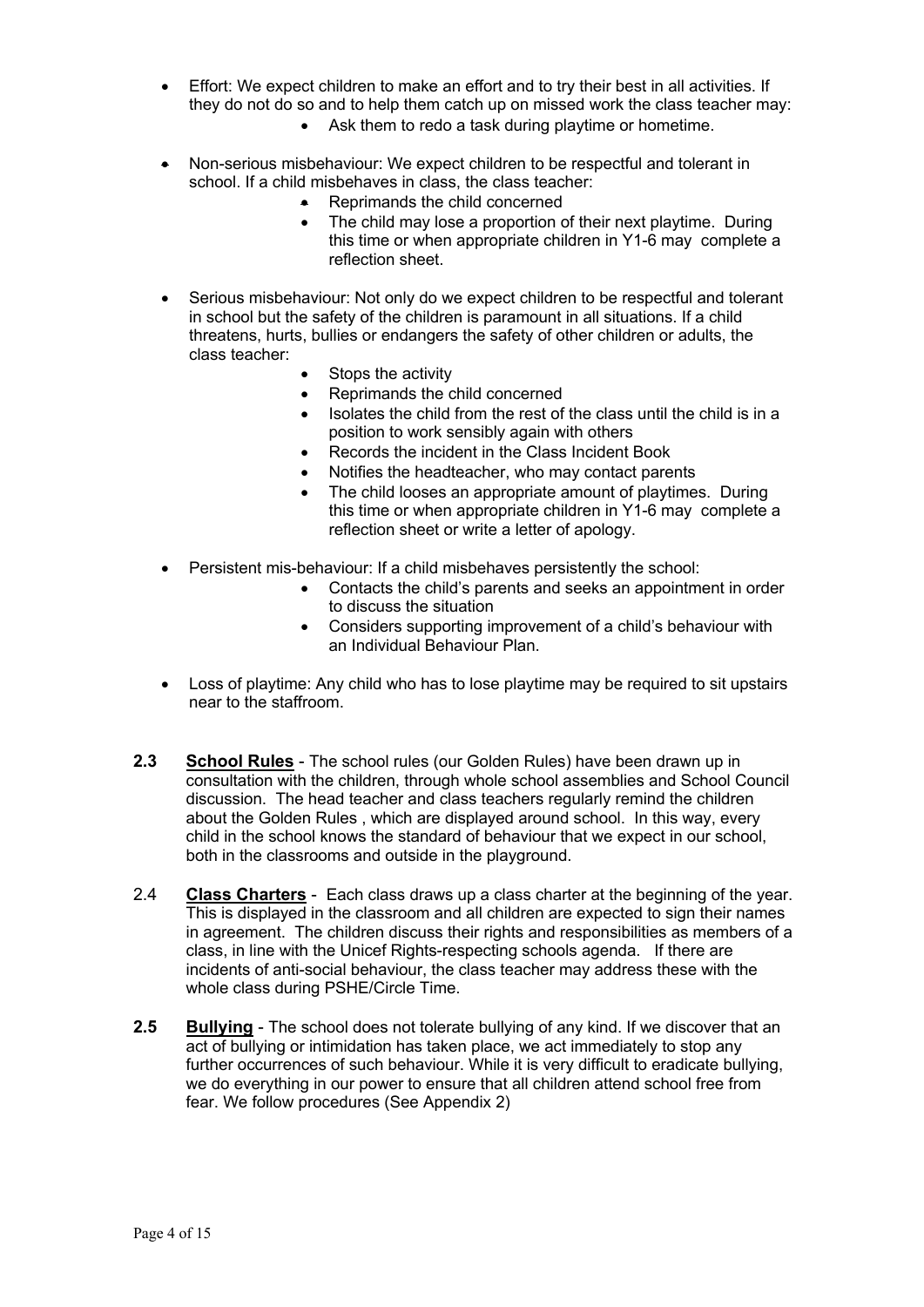- Effort: We expect children to make an effort and to try their best in all activities. If they do not do so and to help them catch up on missed work the class teacher may:
	- Ask them to redo a task during playtime or hometime.
- Non-serious misbehaviour: We expect children to be respectful and tolerant in school. If a child misbehaves in class, the class teacher:
	- Reprimands the child concerned
	- The child may lose a proportion of their next playtime. During this time or when appropriate children in Y1-6 may complete a reflection sheet.
- Serious misbehaviour: Not only do we expect children to be respectful and tolerant in school but the safety of the children is paramount in all situations. If a child threatens, hurts, bullies or endangers the safety of other children or adults, the class teacher:
	- Stops the activity
	- Reprimands the child concerned
	- Isolates the child from the rest of the class until the child is in a position to work sensibly again with others
	- Records the incident in the Class Incident Book
	- Notifies the headteacher, who may contact parents
	- The child looses an appropriate amount of playtimes. During this time or when appropriate children in Y1-6 may complete a reflection sheet or write a letter of apology.
- Persistent mis-behaviour: If a child misbehaves persistently the school:
	- Contacts the child's parents and seeks an appointment in order to discuss the situation
	- Considers supporting improvement of a child's behaviour with an Individual Behaviour Plan.
- Loss of playtime: Any child who has to lose playtime may be required to sit upstairs near to the staffroom.
- **2.3 School Rules** The school rules (our Golden Rules) have been drawn up in consultation with the children, through whole school assemblies and School Council discussion. The head teacher and class teachers regularly remind the children about the Golden Rules , which are displayed around school. In this way, every child in the school knows the standard of behaviour that we expect in our school, both in the classrooms and outside in the playground.
- 2.4 **Class Charters** Each class draws up a class charter at the beginning of the year. This is displayed in the classroom and all children are expected to sign their names in agreement. The children discuss their rights and responsibilities as members of a class, in line with the Unicef Rights-respecting schools agenda. If there are incidents of anti-social behaviour, the class teacher may address these with the whole class during PSHE/Circle Time.
- **2.5 Bullying** The school does not tolerate bullying of any kind. If we discover that an act of bullying or intimidation has taken place, we act immediately to stop any further occurrences of such behaviour. While it is very difficult to eradicate bullying, we do everything in our power to ensure that all children attend school free from fear. We follow procedures (See Appendix 2)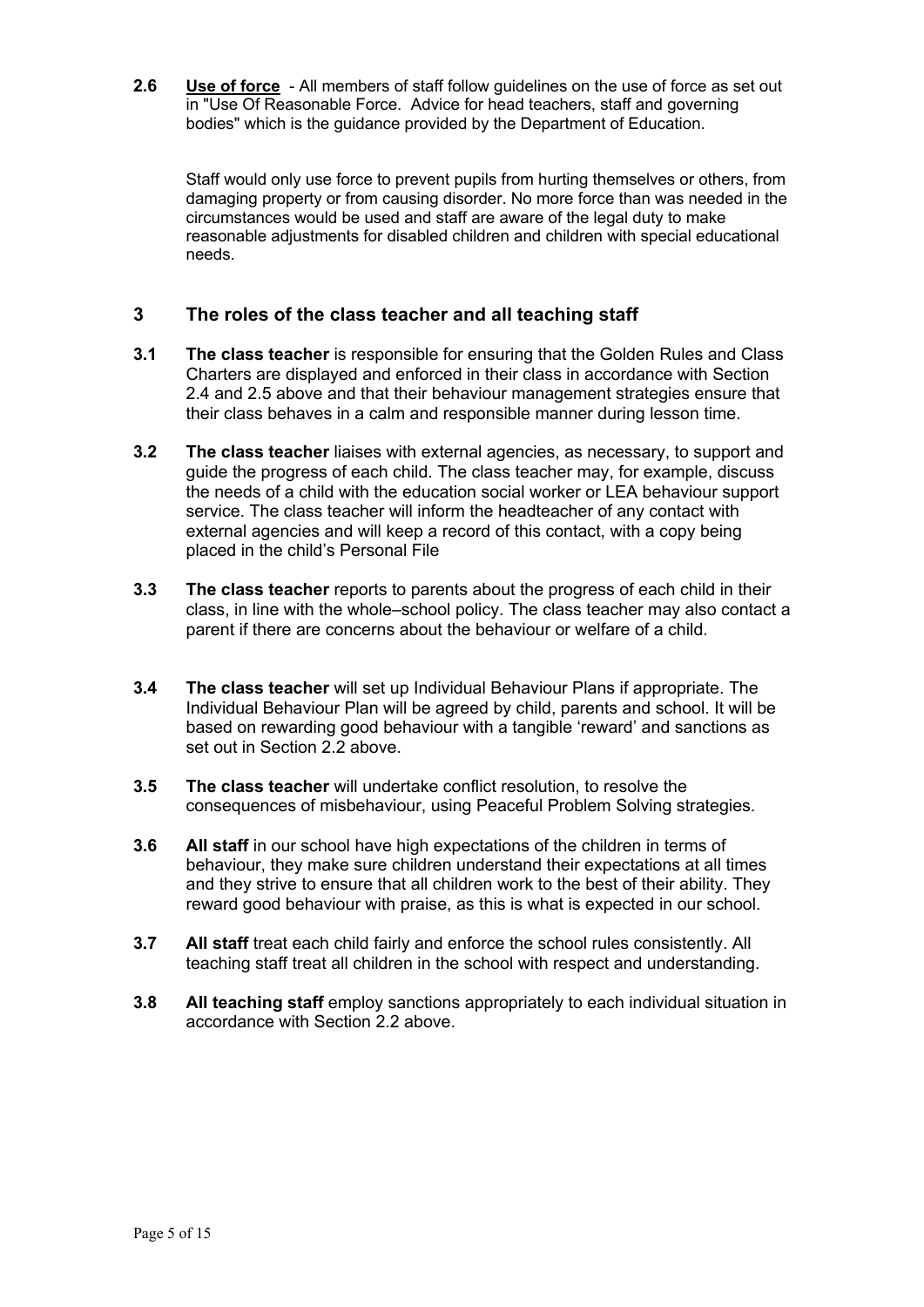**2.6 Use of force** - All members of staff follow guidelines on the use of force as set out in "Use Of Reasonable Force. Advice for head teachers, staff and governing bodies" which is the guidance provided by the Department of Education.

Staff would only use force to prevent pupils from hurting themselves or others, from damaging property or from causing disorder. No more force than was needed in the circumstances would be used and staff are aware of the legal duty to make reasonable adjustments for disabled children and children with special educational needs.

## **3 The roles of the class teacher and all teaching staff**

- **3.1 The class teacher** is responsible for ensuring that the Golden Rules and Class Charters are displayed and enforced in their class in accordance with Section 2.4 and 2.5 above and that their behaviour management strategies ensure that their class behaves in a calm and responsible manner during lesson time.
- **3.2 The class teacher** liaises with external agencies, as necessary, to support and guide the progress of each child. The class teacher may, for example, discuss the needs of a child with the education social worker or LEA behaviour support service. The class teacher will inform the headteacher of any contact with external agencies and will keep a record of this contact, with a copy being placed in the child's Personal File
- **3.3 The class teacher** reports to parents about the progress of each child in their class, in line with the whole–school policy. The class teacher may also contact a parent if there are concerns about the behaviour or welfare of a child.
- **3.4 The class teacher** will set up Individual Behaviour Plans if appropriate. The Individual Behaviour Plan will be agreed by child, parents and school. It will be based on rewarding good behaviour with a tangible 'reward' and sanctions as set out in Section 2.2 above.
- **3.5 The class teacher** will undertake conflict resolution, to resolve the consequences of misbehaviour, using Peaceful Problem Solving strategies.
- **3.6 All staff** in our school have high expectations of the children in terms of behaviour, they make sure children understand their expectations at all times and they strive to ensure that all children work to the best of their ability. They reward good behaviour with praise, as this is what is expected in our school.
- **3.7 All staff** treat each child fairly and enforce the school rules consistently. All teaching staff treat all children in the school with respect and understanding.
- **3.8 All teaching staff** employ sanctions appropriately to each individual situation in accordance with Section 2.2 above.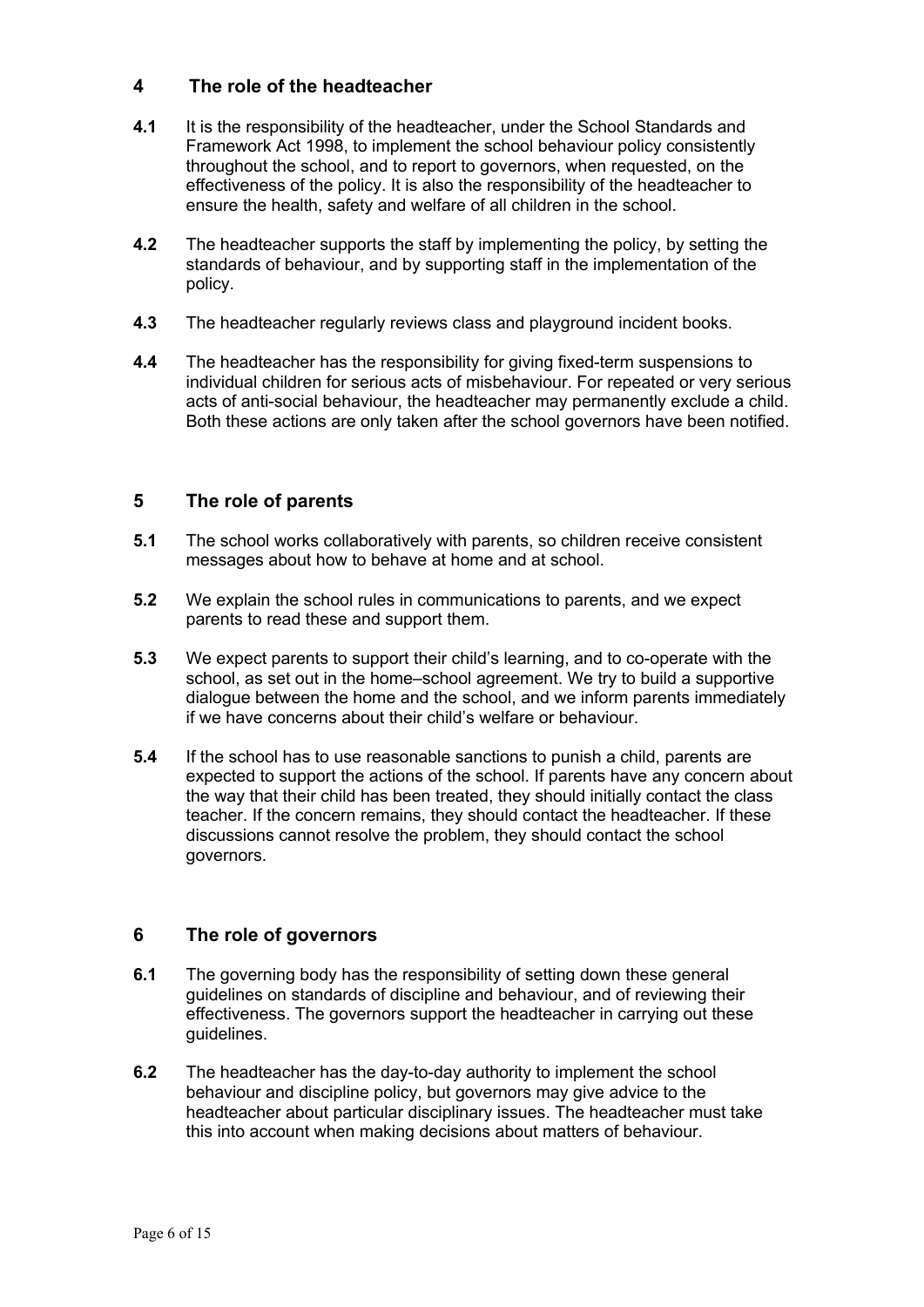### **4 The role of the headteacher**

- **4.1** It is the responsibility of the headteacher, under the School Standards and Framework Act 1998, to implement the school behaviour policy consistently throughout the school, and to report to governors, when requested, on the effectiveness of the policy. It is also the responsibility of the headteacher to ensure the health, safety and welfare of all children in the school.
- **4.2** The headteacher supports the staff by implementing the policy, by setting the standards of behaviour, and by supporting staff in the implementation of the policy.
- **4.3** The headteacher regularly reviews class and playground incident books.
- **4.4** The headteacher has the responsibility for giving fixed-term suspensions to individual children for serious acts of misbehaviour. For repeated or very serious acts of anti-social behaviour, the headteacher may permanently exclude a child. Both these actions are only taken after the school governors have been notified.

## **5 The role of parents**

- **5.1** The school works collaboratively with parents, so children receive consistent messages about how to behave at home and at school.
- **5.2** We explain the school rules in communications to parents, and we expect parents to read these and support them.
- **5.3** We expect parents to support their child's learning, and to co-operate with the school, as set out in the home–school agreement. We try to build a supportive dialogue between the home and the school, and we inform parents immediately if we have concerns about their child's welfare or behaviour.
- **5.4** If the school has to use reasonable sanctions to punish a child, parents are expected to support the actions of the school. If parents have any concern about the way that their child has been treated, they should initially contact the class teacher. If the concern remains, they should contact the headteacher. If these discussions cannot resolve the problem, they should contact the school governors.

## **6 The role of governors**

- **6.1** The governing body has the responsibility of setting down these general guidelines on standards of discipline and behaviour, and of reviewing their effectiveness. The governors support the headteacher in carrying out these guidelines.
- **6.2** The headteacher has the day-to-day authority to implement the school behaviour and discipline policy, but governors may give advice to the headteacher about particular disciplinary issues. The headteacher must take this into account when making decisions about matters of behaviour.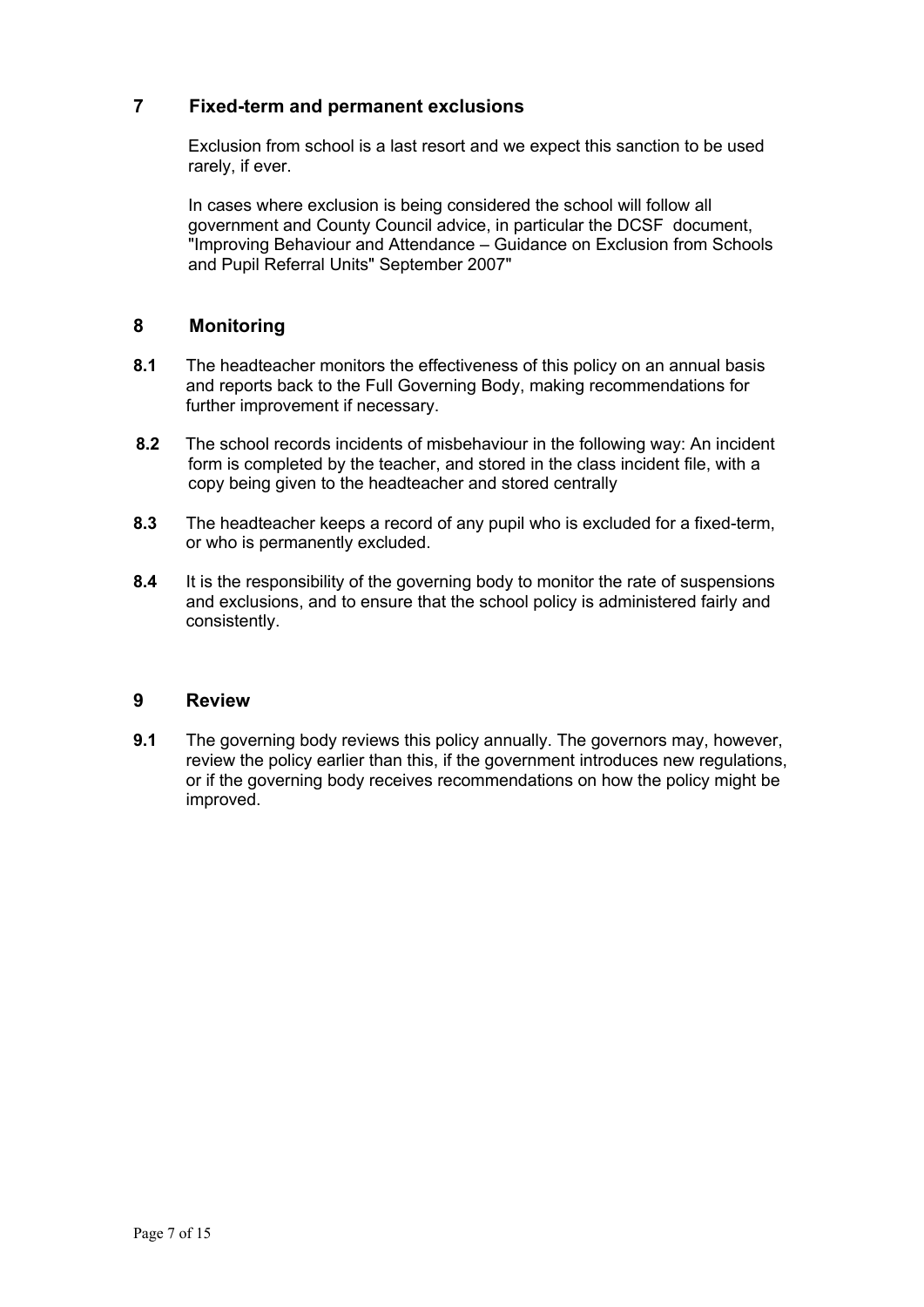## **7 Fixed-term and permanent exclusions**

Exclusion from school is a last resort and we expect this sanction to be used rarely, if ever.

In cases where exclusion is being considered the school will follow all government and County Council advice, in particular the DCSF document, "Improving Behaviour and Attendance – Guidance on Exclusion from Schools and Pupil Referral Units" September 2007"

### **8 Monitoring**

- **8.1** The headteacher monitors the effectiveness of this policy on an annual basis and reports back to the Full Governing Body, making recommendations for further improvement if necessary.
- **8.2** The school records incidents of misbehaviour in the following way: An incident form is completed by the teacher, and stored in the class incident file, with a copy being given to the headteacher and stored centrally
- **8.3** The headteacher keeps a record of any pupil who is excluded for a fixed-term, or who is permanently excluded.
- **8.4** It is the responsibility of the governing body to monitor the rate of suspensions and exclusions, and to ensure that the school policy is administered fairly and consistently.

### **9 Review**

**9.1** The governing body reviews this policy annually. The governors may, however, review the policy earlier than this, if the government introduces new regulations, or if the governing body receives recommendations on how the policy might be improved.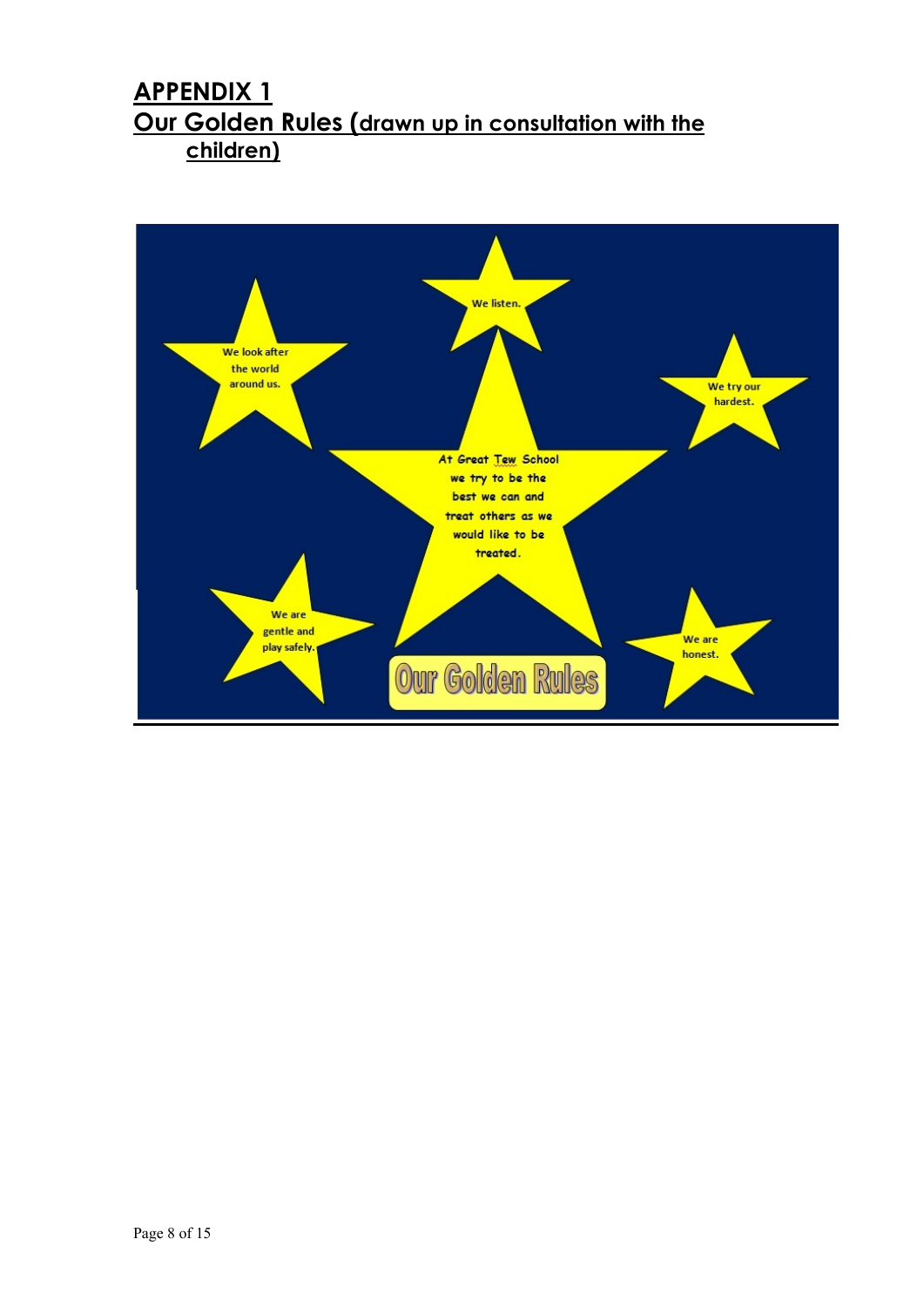# **APPENDIX 1 Our Golden Rules (drawn up in consultation with the children)**

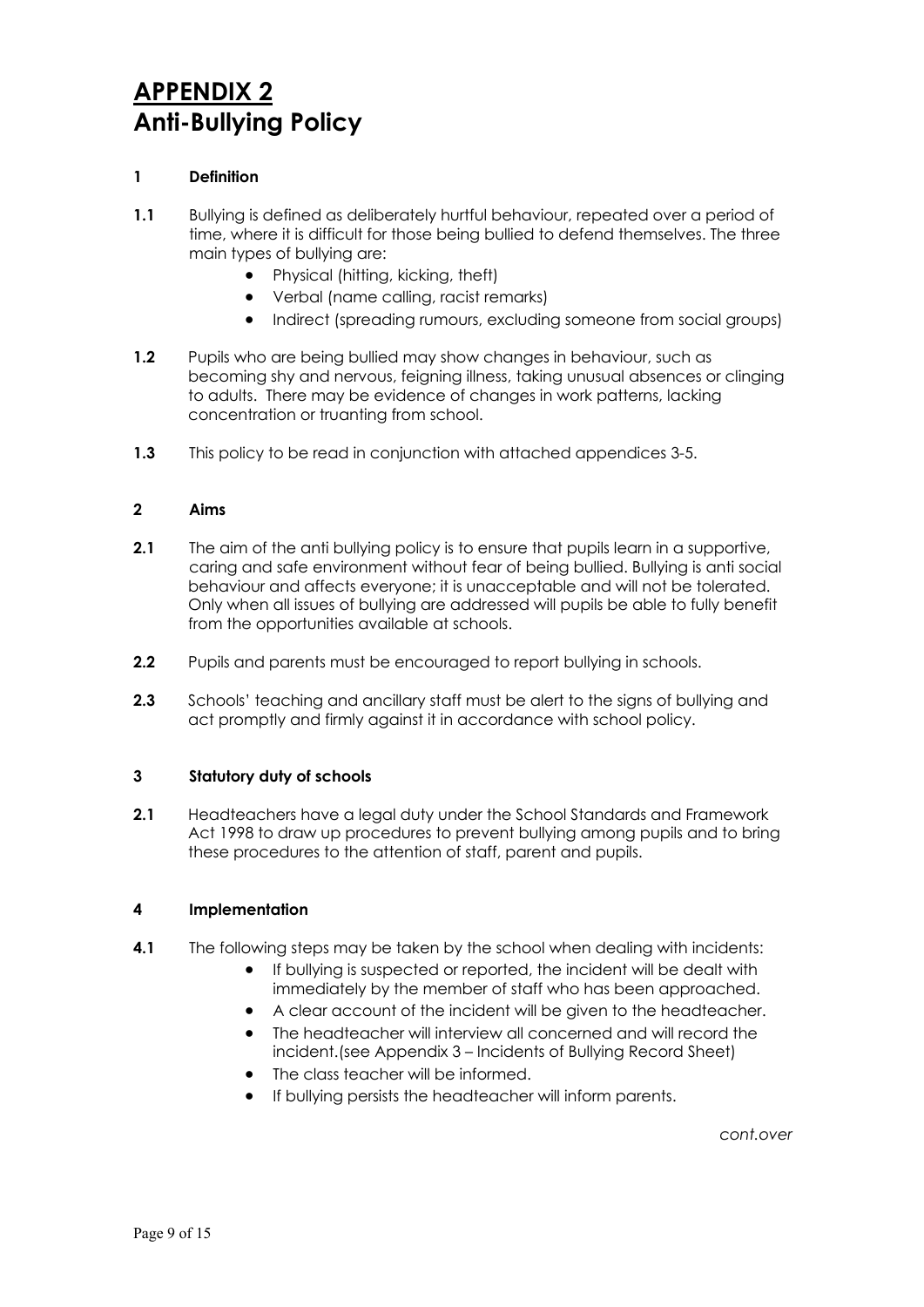# **APPENDIX 2 Anti-Bullying Policy**

### **1 Definition**

- **1.1** Bullying is defined as deliberately hurtful behaviour, repeated over a period of time, where it is difficult for those being bullied to defend themselves. The three main types of bullying are:
	- Physical (hitting, kicking, theft)
	- Verbal (name calling, racist remarks)
	- Indirect (spreading rumours, excluding someone from social groups)
- **1.2** Pupils who are being bullied may show changes in behaviour, such as becoming shy and nervous, feigning illness, taking unusual absences or clinging to adults. There may be evidence of changes in work patterns, lacking concentration or truanting from school.
- **1.3** This policy to be read in conjunction with attached appendices 3-5.

### **2 Aims**

- **2.1** The aim of the anti bullying policy is to ensure that pupils learn in a supportive, caring and safe environment without fear of being bullied. Bullying is anti social behaviour and affects everyone; it is unacceptable and will not be tolerated. Only when all issues of bullying are addressed will pupils be able to fully benefit from the opportunities available at schools.
- **2.2** Pupils and parents must be encouraged to report bullying in schools.
- **2.3** Schools' teaching and ancillary staff must be alert to the signs of bullying and act promptly and firmly against it in accordance with school policy.

#### **3 Statutory duty of schools**

**2.1** Headteachers have a legal duty under the School Standards and Framework Act 1998 to draw up procedures to prevent bullying among pupils and to bring these procedures to the attention of staff, parent and pupils.

#### **4 Implementation**

- **4.1** The following steps may be taken by the school when dealing with incidents:
	- If bullying is suspected or reported, the incident will be dealt with immediately by the member of staff who has been approached.
	- A clear account of the incident will be given to the headteacher.
	- The headteacher will interview all concerned and will record the incident.(see Appendix 3 – Incidents of Bullying Record Sheet)
	- The class teacher will be informed.
	- If bullying persists the headteacher will inform parents.

*cont.over*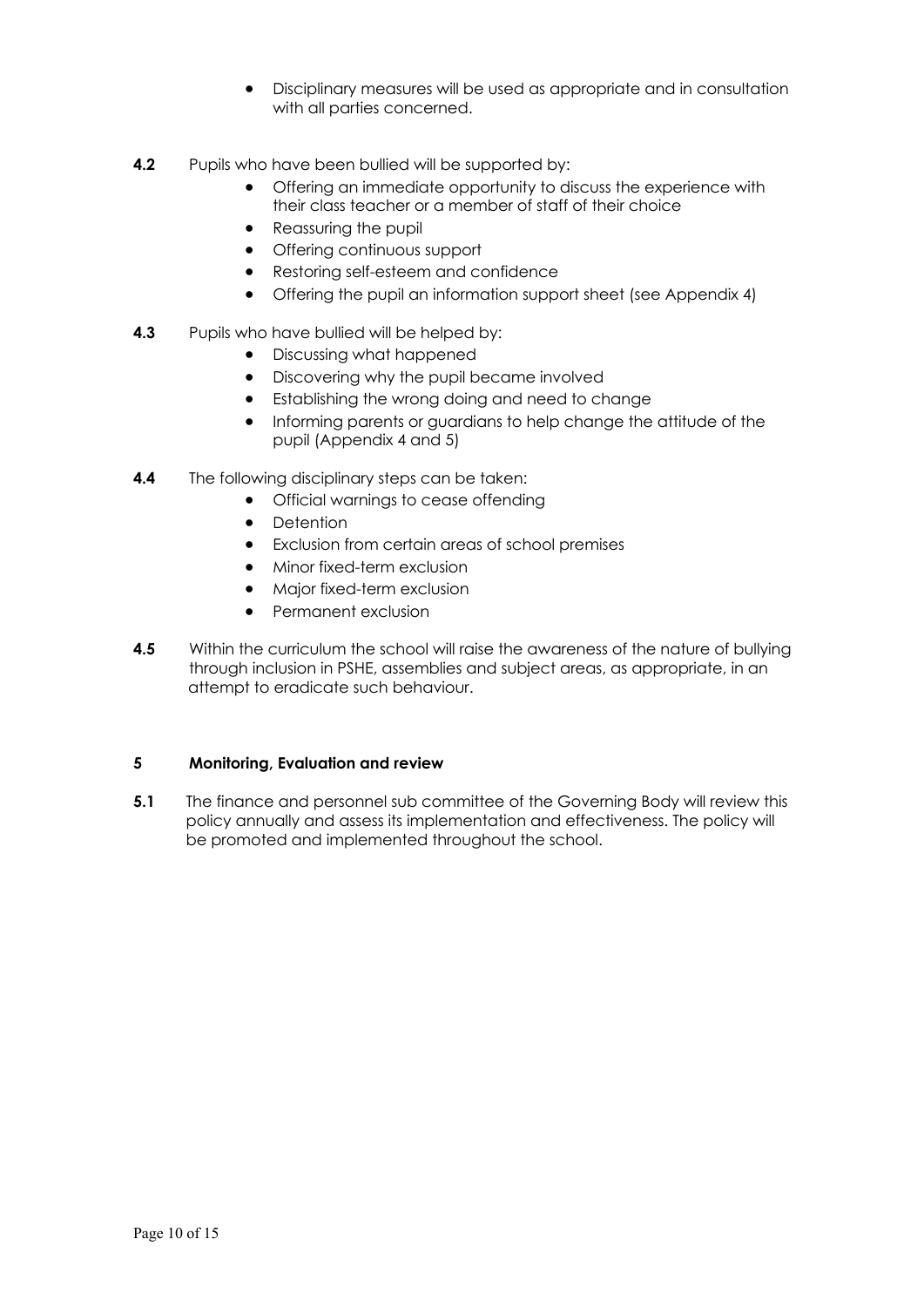- Disciplinary measures will be used as appropriate and in consultation with all parties concerned.
- **4.2** Pupils who have been bullied will be supported by:
	- Offering an immediate opportunity to discuss the experience with their class teacher or a member of staff of their choice
	- Reassuring the pupil
	- Offering continuous support
	- Restoring self-esteem and confidence
	- Offering the pupil an information support sheet (see Appendix 4)

### **4.3** Pupils who have bullied will be helped by:

- Discussing what happened
- Discovering why the pupil became involved
- Establishing the wrong doing and need to change
- Informing parents or guardians to help change the attitude of the pupil (Appendix 4 and 5)
- **4.4** The following disciplinary steps can be taken:
	- Official warnings to cease offending
	- Detention
	- Exclusion from certain areas of school premises
	- Minor fixed-term exclusion
	- Major fixed-term exclusion
	- Permanent exclusion
- **4.5** Within the curriculum the school will raise the awareness of the nature of bullying through inclusion in PSHE, assemblies and subject areas, as appropriate, in an attempt to eradicate such behaviour.

### **5 Monitoring, Evaluation and review**

**5.1** The finance and personnel sub committee of the Governing Body will review this policy annually and assess its implementation and effectiveness. The policy will be promoted and implemented throughout the school.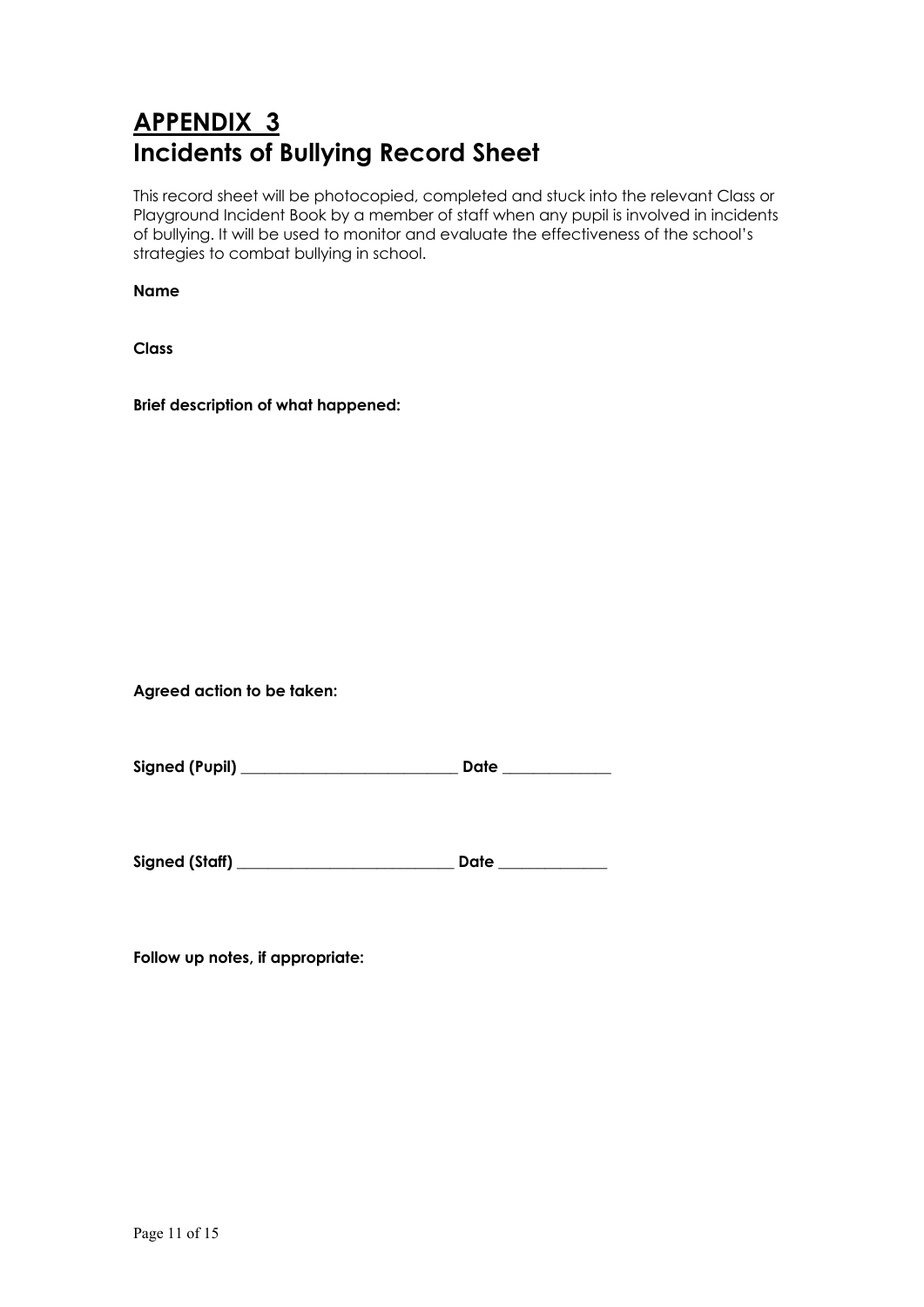# **APPENDIX 3 Incidents of Bullying Record Sheet**

This record sheet will be photocopied, completed and stuck into the relevant Class or Playground Incident Book by a member of staff when any pupil is involved in incidents of bullying. It will be used to monitor and evaluate the effectiveness of the school's strategies to combat bullying in school.

**Name**

**Class**

**Brief description of what happened:**

**Agreed action to be taken:**

**Signed (Pupil) \_\_\_\_\_\_\_\_\_\_\_\_\_\_\_\_\_\_\_\_\_\_\_\_\_\_\_\_ Date \_\_\_\_\_\_\_\_\_\_\_\_\_\_**

**Signed (Staff) \_\_\_\_\_\_\_\_\_\_\_\_\_\_\_\_\_\_\_\_\_\_\_\_\_\_\_\_ Date \_\_\_\_\_\_\_\_\_\_\_\_\_\_**

**Follow up notes, if appropriate:**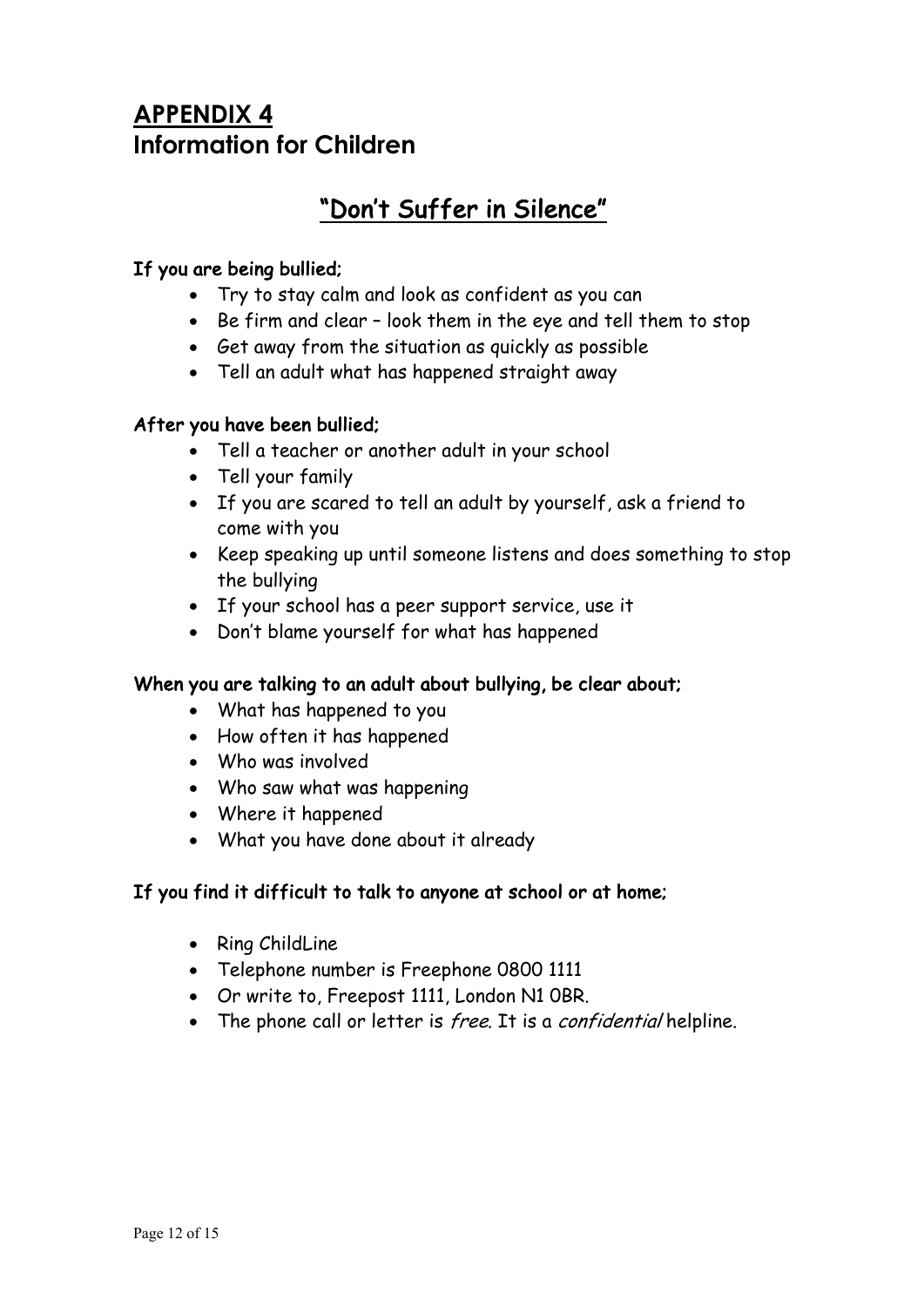# **APPENDIX 4 Information for Children**

# "Don't Suffer in Silence"

## If you are being bullied;

- Try to stay calm and look as confident as you can
- Be firm and clear look them in the eye and tell them to stop
- Get away from the situation as quickly as possible
- Tell an adult what has happened straight away

## After you have been bullied;

- Tell a teacher or another adult in your school
- Tell your family
- If you are scared to tell an adult by yourself, ask a friend to come with you
- Keep speaking up until someone listens and does something to stop the bullying
- If your school has a peer support service, use it
- Don't blame yourself for what has happened

## When you are talking to an adult about bullying, be clear about;

- What has happened to you
- How often it has happened
- Who was involved
- Who saw what was happening
- Where it happened
- What you have done about it already

## If you find it difficult to talk to anyone at school or at home;

- Ring ChildLine
- Telephone number is Freephone 0800 1111
- Or write to, Freepost 1111, London N1 0BR.
- The phone call or letter is free. It is a confidential helpline.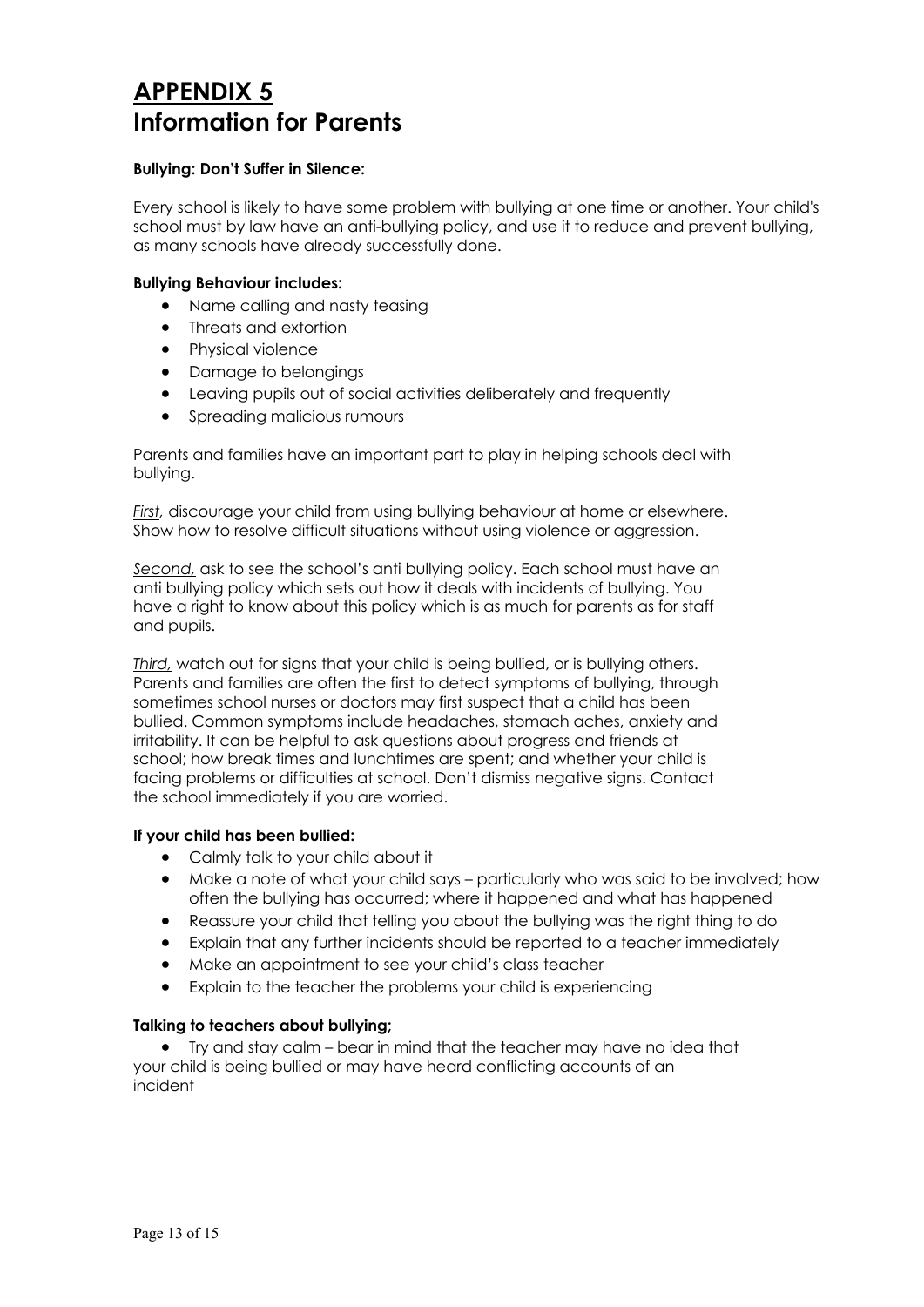## **APPENDIX 5 Information for Parents**

### **Bullying: Don't Suffer in Silence:**

Every school is likely to have some problem with bullying at one time or another. Your child's school must by law have an anti-bullying policy, and use it to reduce and prevent bullying, as many schools have already successfully done.

### **Bullying Behaviour includes:**

- Name calling and nasty teasing
- Threats and extortion
- Physical violence
- Damage to belongings
- Leaving pupils out of social activities deliberately and frequently
- Spreading malicious rumours

Parents and families have an important part to play in helping schools deal with bullying.

*First,* discourage your child from using bullying behaviour at home or elsewhere. Show how to resolve difficult situations without using violence or aggression.

*Second,* ask to see the school's anti bullying policy. Each school must have an anti bullying policy which sets out how it deals with incidents of bullying. You have a right to know about this policy which is as much for parents as for staff and pupils.

*Third,* watch out for signs that your child is being bullied, or is bullying others. Parents and families are often the first to detect symptoms of bullying, through sometimes school nurses or doctors may first suspect that a child has been bullied. Common symptoms include headaches, stomach aches, anxiety and irritability. It can be helpful to ask questions about progress and friends at school; how break times and lunchtimes are spent; and whether your child is facing problems or difficulties at school. Don't dismiss negative signs. Contact the school immediately if you are worried.

### **If your child has been bullied:**

- Calmly talk to your child about it
- Make a note of what your child says particularly who was said to be involved; how often the bullying has occurred; where it happened and what has happened
- Reassure your child that telling you about the bullying was the right thing to do
- Explain that any further incidents should be reported to a teacher immediately
- Make an appointment to see your child's class teacher
- Explain to the teacher the problems your child is experiencing

### **Talking to teachers about bullying;**

• Try and stay calm – bear in mind that the teacher may have no idea that your child is being bullied or may have heard conflicting accounts of an incident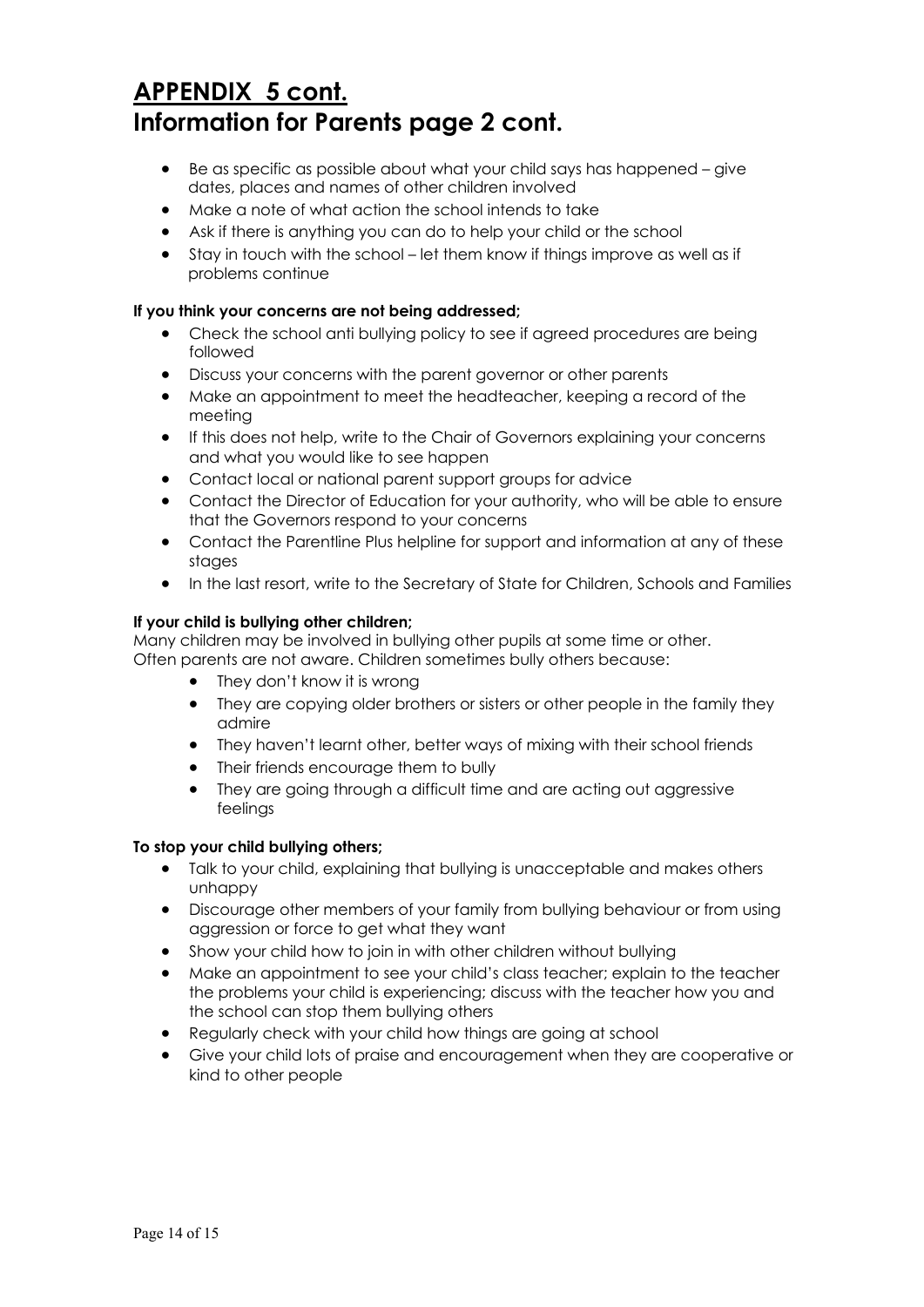# **APPENDIX 5 cont. Information for Parents page 2 cont.**

- Be as specific as possible about what your child says has happened give dates, places and names of other children involved
- Make a note of what action the school intends to take
- Ask if there is anything you can do to help your child or the school
- Stay in touch with the school let them know if things improve as well as if problems continue

### **If you think your concerns are not being addressed;**

- Check the school anti bullying policy to see if agreed procedures are being followed
- Discuss your concerns with the parent governor or other parents
- Make an appointment to meet the headteacher, keeping a record of the meeting
- If this does not help, write to the Chair of Governors explaining your concerns and what you would like to see happen
- Contact local or national parent support groups for advice
- Contact the Director of Education for your authority, who will be able to ensure that the Governors respond to your concerns
- Contact the Parentline Plus helpline for support and information at any of these stages
- In the last resort, write to the Secretary of State for Children, Schools and Families

### **If your child is bullying other children;**

Many children may be involved in bullying other pupils at some time or other. Often parents are not aware. Children sometimes bully others because:

- They don't know it is wrong
- They are copying older brothers or sisters or other people in the family they admire
- They haven't learnt other, better ways of mixing with their school friends
- Their friends encourage them to bully
- They are going through a difficult time and are acting out aggressive feelings

### **To stop your child bullying others;**

- Talk to your child, explaining that bullying is unacceptable and makes others unhappy
- Discourage other members of your family from bullying behaviour or from using aggression or force to get what they want
- Show your child how to join in with other children without bullying
- Make an appointment to see your child's class teacher; explain to the teacher the problems your child is experiencing; discuss with the teacher how you and the school can stop them bullying others
- Regularly check with your child how things are going at school
- Give your child lots of praise and encouragement when they are cooperative or kind to other people